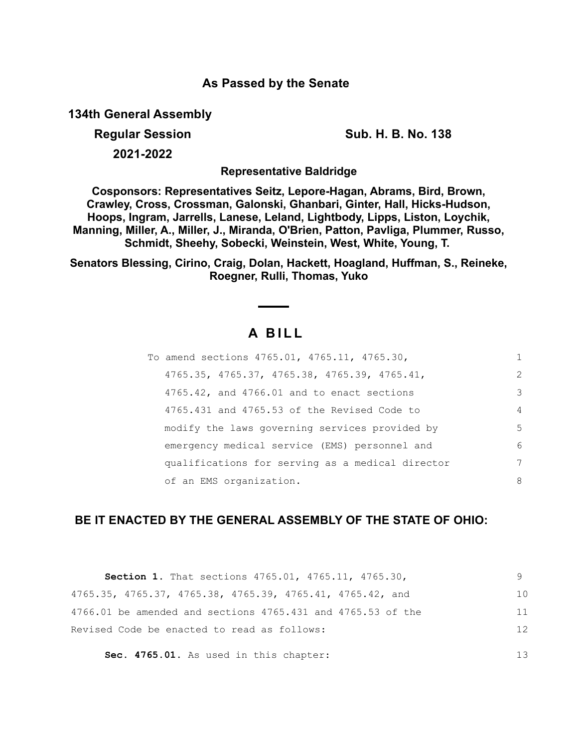#### **As Passed by the Senate**

**134th General Assembly**

**Regular Session Sub. H. B. No. 138**

**2021-2022**

**Representative Baldridge**

**Cosponsors: Representatives Seitz, Lepore-Hagan, Abrams, Bird, Brown, Crawley, Cross, Crossman, Galonski, Ghanbari, Ginter, Hall, Hicks-Hudson, Hoops, Ingram, Jarrells, Lanese, Leland, Lightbody, Lipps, Liston, Loychik, Manning, Miller, A., Miller, J., Miranda, O'Brien, Patton, Pavliga, Plummer, Russo, Schmidt, Sheehy, Sobecki, Weinstein, West, White, Young, T.** 

**Senators Blessing, Cirino, Craig, Dolan, Hackett, Hoagland, Huffman, S., Reineke, Roegner, Rulli, Thomas, Yuko**

### **A B I L L**

| To amend sections 4765.01, 4765.11, 4765.30,     |                |
|--------------------------------------------------|----------------|
| 4765.35, 4765.37, 4765.38, 4765.39, 4765.41,     | $\mathcal{L}$  |
| 4765.42, and 4766.01 and to enact sections       | 3              |
| 4765.431 and 4765.53 of the Revised Code to      | $\overline{4}$ |
| modify the laws governing services provided by   | 5              |
| emergency medical service (EMS) personnel and    | 6              |
| qualifications for serving as a medical director | 7              |
| of an EMS organization.                          | 8              |

#### **BE IT ENACTED BY THE GENERAL ASSEMBLY OF THE STATE OF OHIO:**

| Section 1. That sections 4765.01, 4765.11, 4765.30,         |                |
|-------------------------------------------------------------|----------------|
| 4765.35, 4765.37, 4765.38, 4765.39, 4765.41, 4765.42, and   | 1 <sub>0</sub> |
| 4766.01 be amended and sections 4765.431 and 4765.53 of the | 11             |
| Revised Code be enacted to read as follows:                 | 12             |
| Sec. 4765.01. As used in this chapter:                      | 13             |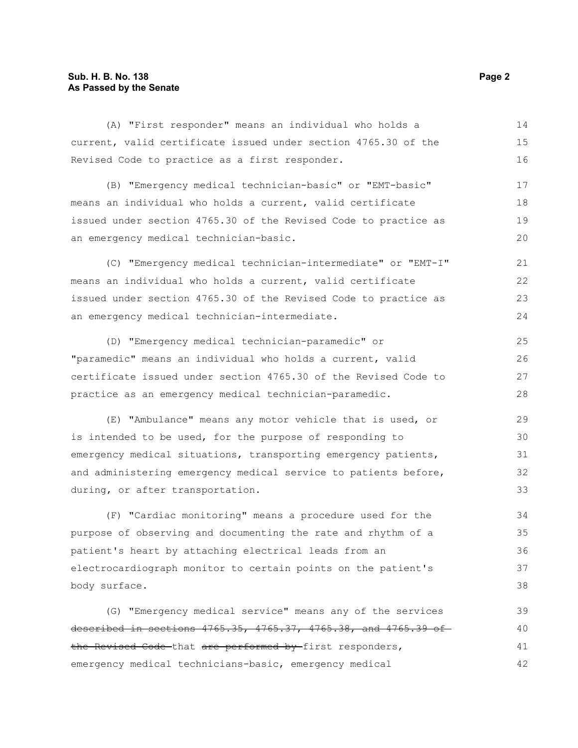#### **Sub. H. B. No. 138** Page 2 **As Passed by the Senate**

| (A) "First responder" means an individual who holds a           | 14 |
|-----------------------------------------------------------------|----|
| current, valid certificate issued under section 4765.30 of the  | 15 |
| Revised Code to practice as a first responder.                  | 16 |
| (B) "Emergency medical technician-basic" or "EMT-basic"         | 17 |
| means an individual who holds a current, valid certificate      | 18 |
| issued under section 4765.30 of the Revised Code to practice as | 19 |
| an emergency medical technician-basic.                          | 20 |
| (C) "Emergency medical technician-intermediate" or "EMT-I"      | 21 |
| means an individual who holds a current, valid certificate      | 22 |
| issued under section 4765.30 of the Revised Code to practice as | 23 |
| an emergency medical technician-intermediate.                   | 24 |
| (D) "Emergency medical technician-paramedic" or                 | 25 |
| "paramedic" means an individual who holds a current, valid      | 26 |
| certificate issued under section 4765.30 of the Revised Code to | 27 |
| practice as an emergency medical technician-paramedic.          | 28 |
| (E) "Ambulance" means any motor vehicle that is used, or        | 29 |
| is intended to be used, for the purpose of responding to        | 30 |
| emergency medical situations, transporting emergency patients,  | 31 |
| and administering emergency medical service to patients before, | 32 |
| during, or after transportation.                                | 33 |
| (F) "Cardiac monitoring" means a procedure used for the         | 34 |
| purpose of observing and documenting the rate and rhythm of a   | 35 |
| patient's heart by attaching electrical leads from an           | 36 |
| electrocardiograph monitor to certain points on the patient's   | 37 |
| body surface.                                                   | 38 |
| (G) "Emergency medical service" means any of the services       | 39 |
| described in sections 4765.35, 4765.37, 4765.38, and 4765.39 of | 40 |
| the Revised Code that are performed by first responders,        | 41 |
| emergency medical technicians-basic, emergency medical          | 42 |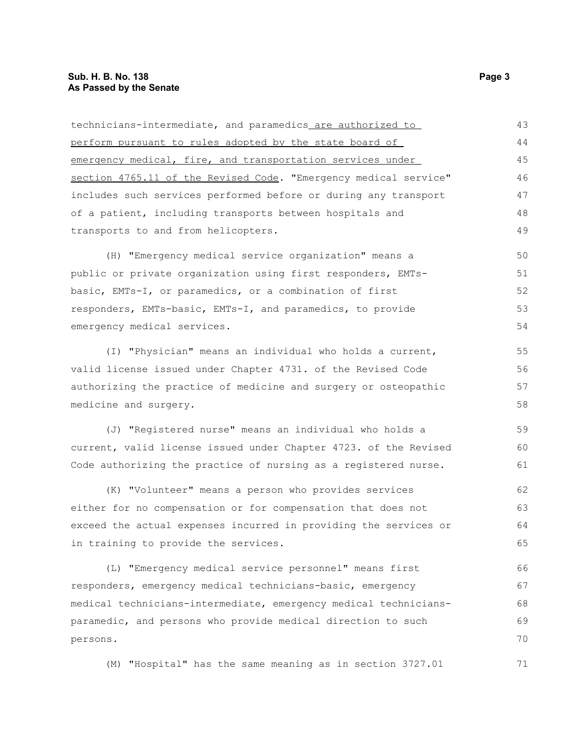technicians-intermediate, and paramedics are authorized to perform pursuant to rules adopted by the state board of emergency medical, fire, and transportation services under section 4765.11 of the Revised Code. "Emergency medical service" includes such services performed before or during any transport of a patient, including transports between hospitals and transports to and from helicopters. 43 44 45 46 47 48 49

(H) "Emergency medical service organization" means a public or private organization using first responders, EMTsbasic, EMTs-I, or paramedics, or a combination of first responders, EMTs-basic, EMTs-I, and paramedics, to provide emergency medical services. 50 51 52 53 54

(I) "Physician" means an individual who holds a current, valid license issued under Chapter 4731. of the Revised Code authorizing the practice of medicine and surgery or osteopathic medicine and surgery.

(J) "Registered nurse" means an individual who holds a current, valid license issued under Chapter 4723. of the Revised Code authorizing the practice of nursing as a registered nurse.

(K) "Volunteer" means a person who provides services either for no compensation or for compensation that does not exceed the actual expenses incurred in providing the services or in training to provide the services. 62 63 64 65

(L) "Emergency medical service personnel" means first responders, emergency medical technicians-basic, emergency medical technicians-intermediate, emergency medical techniciansparamedic, and persons who provide medical direction to such persons. 66 67 68 69 70

(M) "Hospital" has the same meaning as in section 3727.01

59 60 61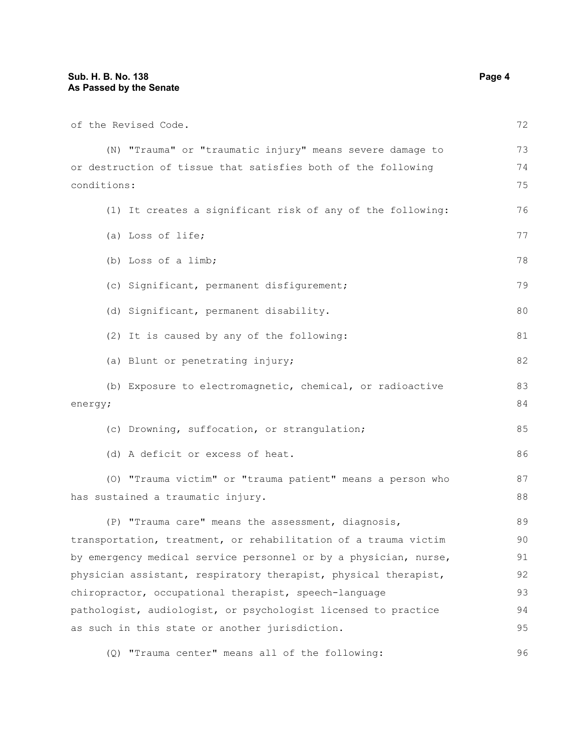| of the Revised Code.                                             | 72 |
|------------------------------------------------------------------|----|
| (N) "Trauma" or "traumatic injury" means severe damage to        | 73 |
| or destruction of tissue that satisfies both of the following    | 74 |
| conditions:                                                      | 75 |
| (1) It creates a significant risk of any of the following:       | 76 |
| (a) Loss of life;                                                | 77 |
| (b) Loss of a limb;                                              | 78 |
| (c) Significant, permanent disfigurement;                        | 79 |
| (d) Significant, permanent disability.                           | 80 |
| (2) It is caused by any of the following:                        | 81 |
| (a) Blunt or penetrating injury;                                 | 82 |
| (b) Exposure to electromagnetic, chemical, or radioactive        | 83 |
| energy;                                                          | 84 |
| (c) Drowning, suffocation, or strangulation;                     | 85 |
| (d) A deficit or excess of heat.                                 | 86 |
| (O) "Trauma victim" or "trauma patient" means a person who       | 87 |
| has sustained a traumatic injury.                                | 88 |
| (P) "Trauma care" means the assessment, diagnosis,               | 89 |
| transportation, treatment, or rehabilitation of a trauma victim  | 90 |
| by emergency medical service personnel or by a physician, nurse, | 91 |
| physician assistant, respiratory therapist, physical therapist,  | 92 |
| chiropractor, occupational therapist, speech-language            | 93 |
| pathologist, audiologist, or psychologist licensed to practice   | 94 |
| as such in this state or another jurisdiction.                   | 95 |

(Q) "Trauma center" means all of the following: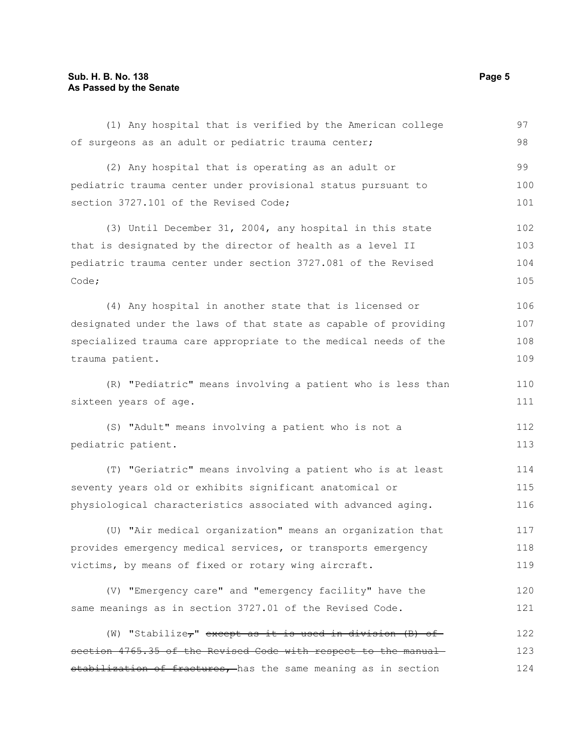#### **Sub. H. B. No. 138** Page 5 **As Passed by the Senate**

| (1) Any hospital that is verified by the American college             | 97  |
|-----------------------------------------------------------------------|-----|
| of surgeons as an adult or pediatric trauma center;                   | 98  |
| (2) Any hospital that is operating as an adult or                     | 99  |
| pediatric trauma center under provisional status pursuant to          | 100 |
| section 3727.101 of the Revised Code;                                 | 101 |
| (3) Until December 31, 2004, any hospital in this state               | 102 |
| that is designated by the director of health as a level II            | 103 |
| pediatric trauma center under section 3727.081 of the Revised         | 104 |
| Code;                                                                 | 105 |
| (4) Any hospital in another state that is licensed or                 | 106 |
| designated under the laws of that state as capable of providing       | 107 |
| specialized trauma care appropriate to the medical needs of the       | 108 |
| trauma patient.                                                       | 109 |
| (R) "Pediatric" means involving a patient who is less than            | 110 |
| sixteen years of age.                                                 | 111 |
| (S) "Adult" means involving a patient who is not a                    | 112 |
| pediatric patient.                                                    | 113 |
| (T) "Geriatric" means involving a patient who is at least             | 114 |
| seventy years old or exhibits significant anatomical or               | 115 |
| physiological characteristics associated with advanced aging.         | 116 |
| (U) "Air medical organization" means an organization that             | 117 |
| provides emergency medical services, or transports emergency          | 118 |
| victims, by means of fixed or rotary wing aircraft.                   | 119 |
| (V) "Emergency care" and "emergency facility" have the                | 120 |
| same meanings as in section 3727.01 of the Revised Code.              | 121 |
| (W) "Stabilize <sub>7</sub> " except as it is used in division (B) of | 122 |
| section 4765.35 of the Revised Code with respect to the manual        | 123 |
| stabilization of fractures, has the same meaning as in section        | 124 |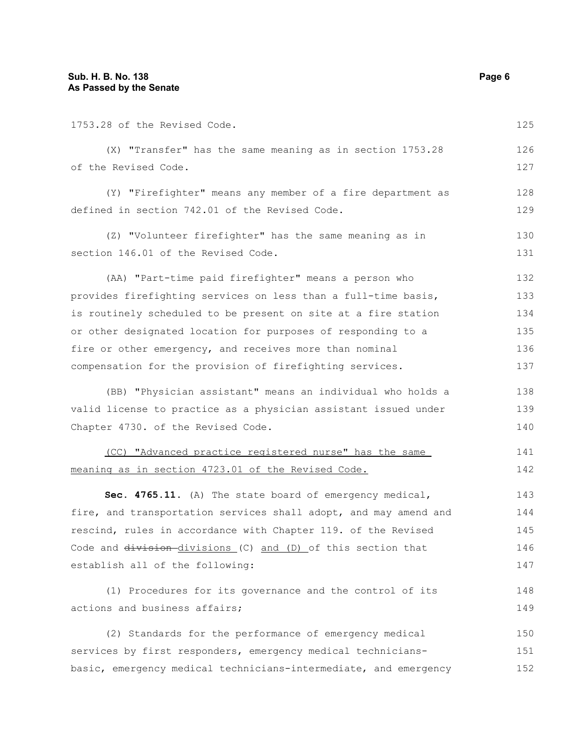| 1753.28 of the Revised Code.                                     | 125 |
|------------------------------------------------------------------|-----|
| (X) "Transfer" has the same meaning as in section 1753.28        | 126 |
| of the Revised Code.                                             | 127 |
| (Y) "Firefighter" means any member of a fire department as       | 128 |
| defined in section 742.01 of the Revised Code.                   | 129 |
| (Z) "Volunteer firefighter" has the same meaning as in           | 130 |
| section 146.01 of the Revised Code.                              | 131 |
| (AA) "Part-time paid firefighter" means a person who             | 132 |
| provides firefighting services on less than a full-time basis,   | 133 |
| is routinely scheduled to be present on site at a fire station   | 134 |
| or other designated location for purposes of responding to a     | 135 |
| fire or other emergency, and receives more than nominal          | 136 |
| compensation for the provision of firefighting services.         | 137 |
| (BB) "Physician assistant" means an individual who holds a       | 138 |
| valid license to practice as a physician assistant issued under  | 139 |
| Chapter 4730. of the Revised Code.                               | 140 |
| (CC) "Advanced practice registered nurse" has the same           | 141 |
| <u>meaning as in section 4723.01 of the Revised Code.</u>        | 142 |
| Sec. 4765.11. (A) The state board of emergency medical,          | 143 |
| fire, and transportation services shall adopt, and may amend and | 144 |
| rescind, rules in accordance with Chapter 119. of the Revised    | 145 |
| Code and division-divisions (C) and (D) of this section that     | 146 |
| establish all of the following:                                  | 147 |
| (1) Procedures for its governance and the control of its         | 148 |
| actions and business affairs;                                    | 149 |
| (2) Standards for the performance of emergency medical           | 150 |
| services by first responders, emergency medical technicians-     | 151 |

basic, emergency medical technicians-intermediate, and emergency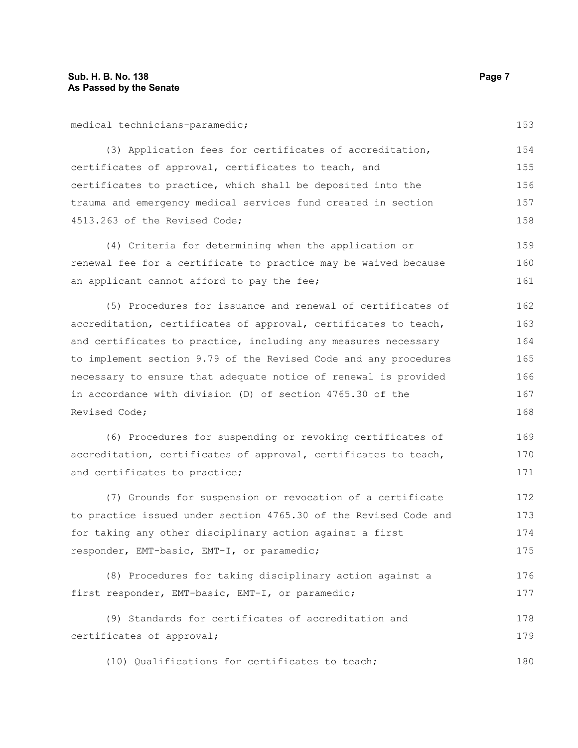medical technicians-paramedic;

(3) Application fees for certificates of accreditation, certificates of approval, certificates to teach, and certificates to practice, which shall be deposited into the trauma and emergency medical services fund created in section 4513.263 of the Revised Code; 154 155 156 157 158

(4) Criteria for determining when the application or renewal fee for a certificate to practice may be waived because an applicant cannot afford to pay the fee; 159 160 161

(5) Procedures for issuance and renewal of certificates of accreditation, certificates of approval, certificates to teach, and certificates to practice, including any measures necessary to implement section 9.79 of the Revised Code and any procedures necessary to ensure that adequate notice of renewal is provided in accordance with division (D) of section 4765.30 of the Revised Code; 162 163 164 165 166 167 168

(6) Procedures for suspending or revoking certificates of accreditation, certificates of approval, certificates to teach, and certificates to practice; 169 170 171

(7) Grounds for suspension or revocation of a certificate to practice issued under section 4765.30 of the Revised Code and for taking any other disciplinary action against a first responder, EMT-basic, EMT-I, or paramedic; 172 173 174 175

(8) Procedures for taking disciplinary action against a first responder, EMT-basic, EMT-I, or paramedic; 176 177

(9) Standards for certificates of accreditation and certificates of approval; 178 179

(10) Qualifications for certificates to teach; 180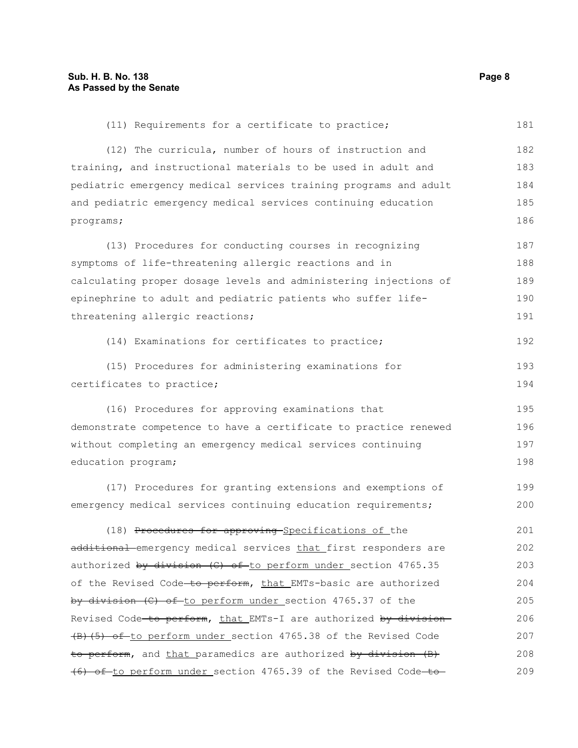(11) Requirements for a certificate to practice; (12) The curricula, number of hours of instruction and training, and instructional materials to be used in adult and pediatric emergency medical services training programs and adult and pediatric emergency medical services continuing education programs; (13) Procedures for conducting courses in recognizing symptoms of life-threatening allergic reactions and in calculating proper dosage levels and administering injections of epinephrine to adult and pediatric patients who suffer lifethreatening allergic reactions; (14) Examinations for certificates to practice; (15) Procedures for administering examinations for certificates to practice; (16) Procedures for approving examinations that demonstrate competence to have a certificate to practice renewed without completing an emergency medical services continuing education program; (17) Procedures for granting extensions and exemptions of emergency medical services continuing education requirements; (18) Procedures for approving Specifications of the additional emergency medical services that first responders are authorized by division (C) of to perform under section 4765.35 of the Revised Code to perform, that EMTs-basic are authorized by division (C) of to perform under section 4765.37 of the Revised Code-to perform, that EMTs-I are authorized by division-(B)(5) of to perform under section 4765.38 of the Revised Code to perform, and that paramedics are authorized by division (B) (6) of to perform under section 4765.39 of the Revised Code to 181 182 183 184 185 186 187 188 189 190 191 192 193 194 195 196 197 198 199 200 201 202 203 204 205 206 207 208 209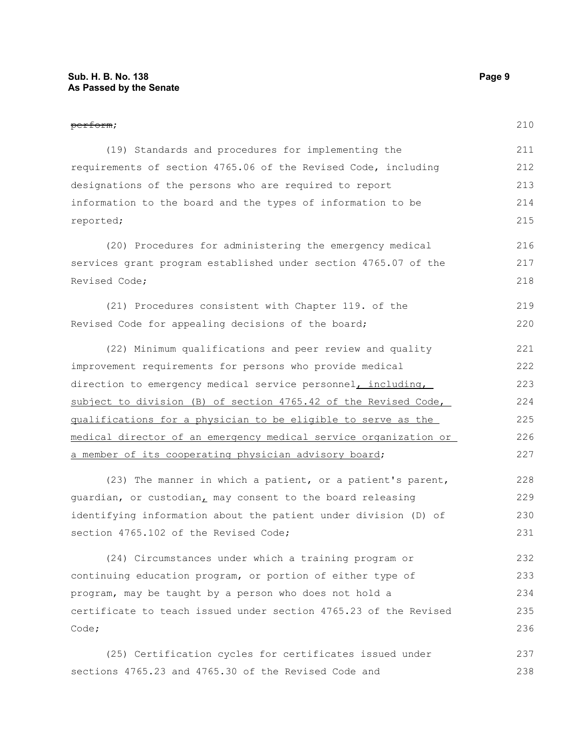210

211 212 213

## perform; (19) Standards and procedures for implementing the requirements of section 4765.06 of the Revised Code, including designations of the persons who are required to report

information to the board and the types of information to be reported; (20) Procedures for administering the emergency medical services grant program established under section 4765.07 of the 214 215 216 217

Revised Code; (21) Procedures consistent with Chapter 119. of the 218 219

Revised Code for appealing decisions of the board; (22) Minimum qualifications and peer review and quality 220 221

improvement requirements for persons who provide medical direction to emergency medical service personnel, including, subject to division (B) of section 4765.42 of the Revised Code, qualifications for a physician to be eligible to serve as the medical director of an emergency medical service organization or a member of its cooperating physician advisory board; 222 223 224 225 226 227

(23) The manner in which a patient, or a patient's parent, guardian, or custodian, may consent to the board releasing identifying information about the patient under division (D) of section 4765.102 of the Revised Code; 228 229 230 231

(24) Circumstances under which a training program or continuing education program, or portion of either type of program, may be taught by a person who does not hold a certificate to teach issued under section 4765.23 of the Revised Code; 232 233 234 235 236

(25) Certification cycles for certificates issued under sections 4765.23 and 4765.30 of the Revised Code and 237 238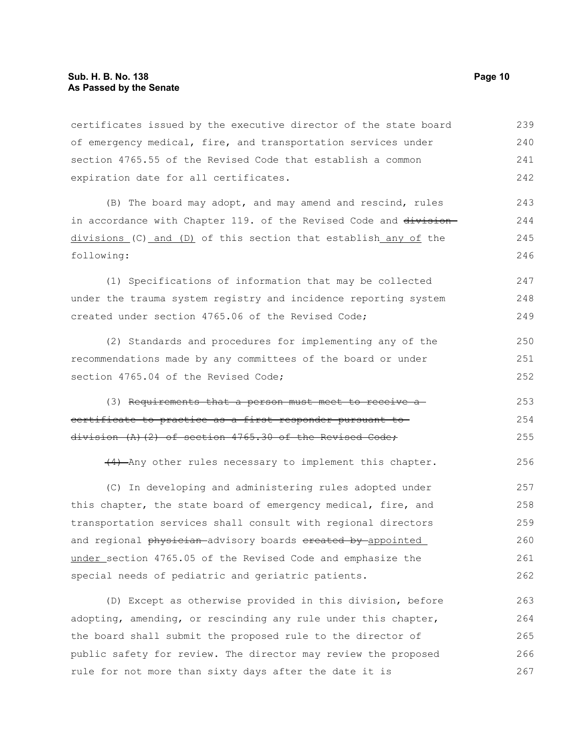certificates issued by the executive director of the state board of emergency medical, fire, and transportation services under section 4765.55 of the Revised Code that establish a common expiration date for all certificates. 239 240 241 242

(B) The board may adopt, and may amend and rescind, rules in accordance with Chapter 119. of the Revised Code and divisiondivisions (C) and (D) of this section that establish any of the following:

(1) Specifications of information that may be collected under the trauma system registry and incidence reporting system created under section 4765.06 of the Revised Code; 247 248 249

(2) Standards and procedures for implementing any of the recommendations made by any committees of the board or under section 4765.04 of the Revised Code;

(3) Requirements that a person must meet to receive a certificate to practice as a first responder pursuant to division (A)(2) of section 4765.30 of the Revised Code; 253 254 255

(4) Any other rules necessary to implement this chapter. 256

(C) In developing and administering rules adopted under this chapter, the state board of emergency medical, fire, and transportation services shall consult with regional directors and regional physician advisory boards created by appointed under section 4765.05 of the Revised Code and emphasize the special needs of pediatric and geriatric patients. 257 258 259 260 261 262

(D) Except as otherwise provided in this division, before adopting, amending, or rescinding any rule under this chapter, the board shall submit the proposed rule to the director of public safety for review. The director may review the proposed rule for not more than sixty days after the date it is 263 264 265 266 267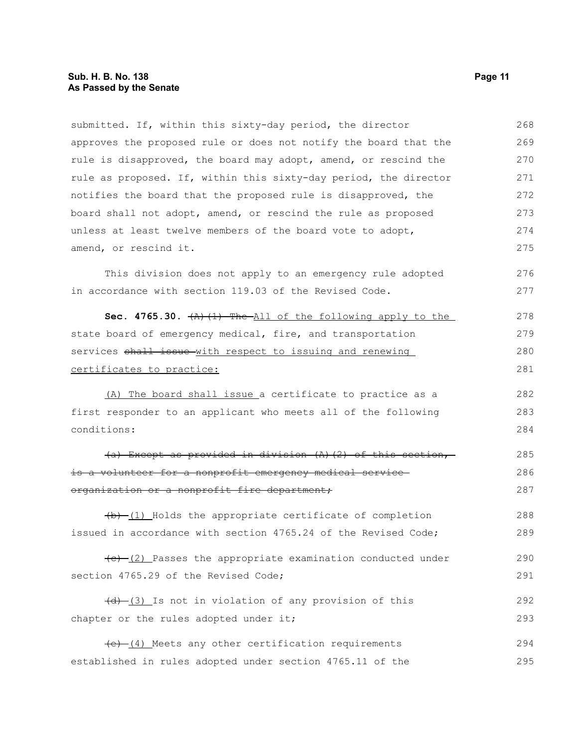submitted. If, within this sixty-day period, the director approves the proposed rule or does not notify the board that the rule is disapproved, the board may adopt, amend, or rescind the rule as proposed. If, within this sixty-day period, the director notifies the board that the proposed rule is disapproved, the board shall not adopt, amend, or rescind the rule as proposed unless at least twelve members of the board vote to adopt, amend, or rescind it. 268 269 270 271 272 273 274 275

This division does not apply to an emergency rule adopted in accordance with section 119.03 of the Revised Code. 276 277

**Sec. 4765.30.**  $\{A\}$   $\{1\}$  The All of the following apply to the state board of emergency medical, fire, and transportation services shall issue with respect to issuing and renewing certificates to practice: 278 279 280 281

(A) The board shall issue a certificate to practice as a first responder to an applicant who meets all of the following conditions: 282 283 284

(a) Except as provided in division (A)(2) of this section, is a volunteer for a nonprofit emergency medical service organization or a nonprofit fire department; 285 286 287

 $(b)$  (1) Holds the appropriate certificate of completion issued in accordance with section 4765.24 of the Revised Code; 288 289

 $(e)$  (2) Passes the appropriate examination conducted under section 4765.29 of the Revised Code; 290 291

 $(d)$  (3) Is not in violation of any provision of this chapter or the rules adopted under it; 292 293

 $(e)$  (4) Meets any other certification requirements established in rules adopted under section 4765.11 of the 294 295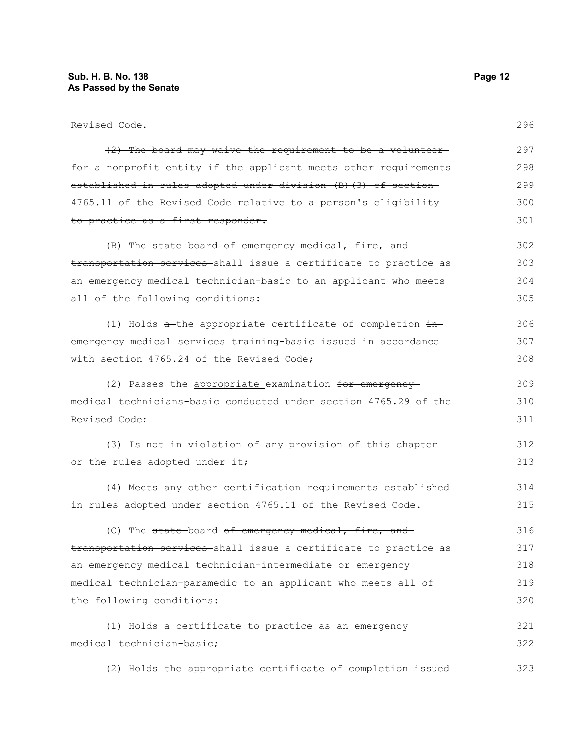#### **Sub. H. B. No. 138** Page 12 **As Passed by the Senate**

| Revised Code.                                                          | 296 |
|------------------------------------------------------------------------|-----|
| (2) The board may waive the requirement to be a volunteer-             | 297 |
| for a nonprofit entity if the applicant meets other requirements       | 298 |
| established in rules adopted under division (B) (3) of section-        | 299 |
| 4765.11 of the Revised Code relative to a person's eligibility         | 300 |
| to practice as a first responder.                                      | 301 |
| (B) The state-board of emergency medical, fire, and                    | 302 |
| transportation services shall issue a certificate to practice as       | 303 |
| an emergency medical technician-basic to an applicant who meets        | 304 |
| all of the following conditions:                                       | 305 |
| (1) Holds $a$ -the appropriate certificate of completion $\frac{1}{2}$ | 306 |
| emergency medical services training-basic-issued in accordance         | 307 |
| with section 4765.24 of the Revised Code;                              | 308 |
| (2) Passes the appropriate examination for emergency-                  | 309 |
| medical technicians basic conducted under section 4765.29 of the       | 310 |
| Revised Code;                                                          | 311 |
| (3) Is not in violation of any provision of this chapter               | 312 |
| or the rules adopted under it;                                         | 313 |
| (4) Meets any other certification requirements established             | 314 |
| in rules adopted under section 4765.11 of the Revised Code.            | 315 |
| (C) The state board of emergency medical, fire, and                    | 316 |
| transportation services shall issue a certificate to practice as       | 317 |
| an emergency medical technician-intermediate or emergency              | 318 |
| medical technician-paramedic to an applicant who meets all of          | 319 |
| the following conditions:                                              | 320 |
| (1) Holds a certificate to practice as an emergency                    | 321 |
| medical technician-basic;                                              | 322 |
| (2) Holds the appropriate certificate of completion issued             | 323 |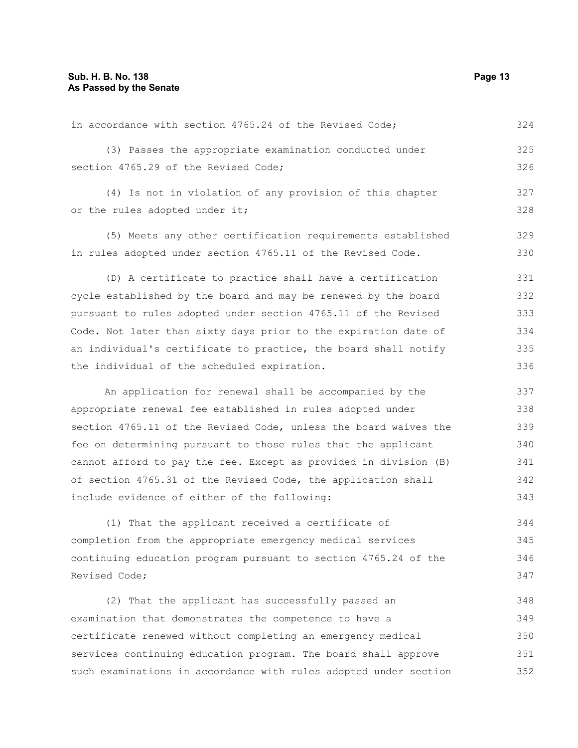in accordance with section 4765.24 of the Revised Code; (3) Passes the appropriate examination conducted under section 4765.29 of the Revised Code; (4) Is not in violation of any provision of this chapter or the rules adopted under it; (5) Meets any other certification requirements established in rules adopted under section 4765.11 of the Revised Code. (D) A certificate to practice shall have a certification cycle established by the board and may be renewed by the board pursuant to rules adopted under section 4765.11 of the Revised Code. Not later than sixty days prior to the expiration date of an individual's certificate to practice, the board shall notify the individual of the scheduled expiration. 325 326 327 328 329 330 331 332 333 334 335 336 337

An application for renewal shall be accompanied by the appropriate renewal fee established in rules adopted under section 4765.11 of the Revised Code, unless the board waives the fee on determining pursuant to those rules that the applicant cannot afford to pay the fee. Except as provided in division (B) of section 4765.31 of the Revised Code, the application shall include evidence of either of the following: 338 339 340 341 342 343

(1) That the applicant received a certificate of completion from the appropriate emergency medical services continuing education program pursuant to section 4765.24 of the Revised Code; 344 345 346 347

(2) That the applicant has successfully passed an examination that demonstrates the competence to have a certificate renewed without completing an emergency medical services continuing education program. The board shall approve such examinations in accordance with rules adopted under section 348 349 350 351 352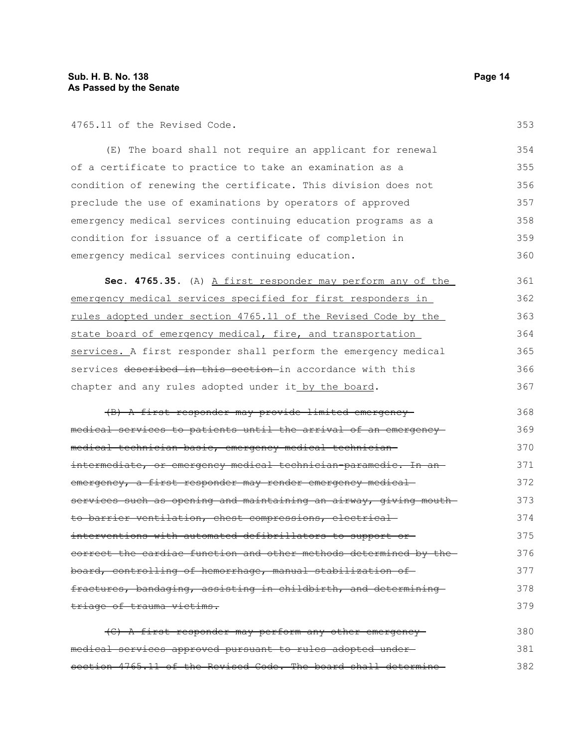4765.11 of the Revised Code.

(E) The board shall not require an applicant for renewal of a certificate to practice to take an examination as a condition of renewing the certificate. This division does not preclude the use of examinations by operators of approved emergency medical services continuing education programs as a condition for issuance of a certificate of completion in emergency medical services continuing education. 354 355 356 357 358 359 360

Sec. 4765.35. (A) A first responder may perform any of the emergency medical services specified for first responders in rules adopted under section 4765.11 of the Revised Code by the state board of emergency medical, fire, and transportation services. A first responder shall perform the emergency medical services described in this section-in accordance with this chapter and any rules adopted under it by the board. 361 362 363 364 365 366 367

(B) A first responder may provide limited emergency medical services to patients until the arrival of an emergency medical technician-basic, emergency medical technicianintermediate, or emergency medical technician-paramedic. In anemergency, a first responder may render emergency medicalservices such as opening and maintaining an airway, giving mouthto barrier ventilation, chest compressions, electrical interventions with automated defibrillators to support or correct the cardiac function and other methods determined by the board, controlling of hemorrhage, manual stabilization of fractures, bandaging, assisting in childbirth, and determining triage of trauma victims. 368 369 370 371 372 373 374 375 376 377 378 379

(C) A first responder may perform any other emergency medical services approved pursuant to rules adopted under section 4765.11 of the Revised Code. The board shall determine 380 381 382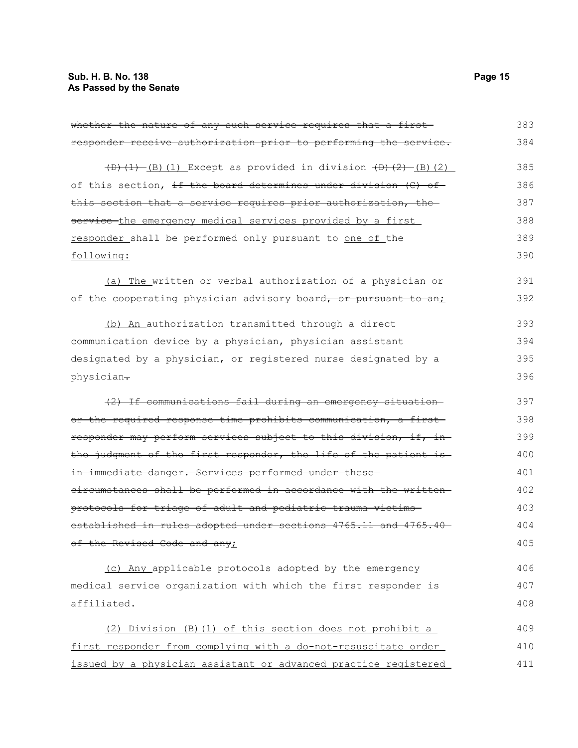| whether the nature of any such service requires that a first     | 383 |
|------------------------------------------------------------------|-----|
| responder receive authorization prior to performing the service. | 384 |
| $(D)$ (1) $(B)$ (1) Except as provided in division $(D)$ (2) (2) | 385 |
| of this section, if the board determines under division (C) of   | 386 |
| this section that a service requires prior authorization, the    | 387 |
| service the emergency medical services provided by a first       | 388 |
| responder shall be performed only pursuant to one of the         | 389 |
| following:                                                       | 390 |
| (a) The written or verbal authorization of a physician or        | 391 |
| of the cooperating physician advisory board, or pursuant to an;  | 392 |
| (b) An authorization transmitted through a direct                | 393 |
| communication device by a physician, physician assistant         | 394 |
| designated by a physician, or registered nurse designated by a   | 395 |
| physician-                                                       | 396 |
| (2) If communications fail during an emergency situation         | 397 |
| or the required response time prohibits communication, a first   | 398 |
| responder may perform services subject to this division, if, in- | 399 |
| the judgment of the first responder, the life of the patient is  | 400 |
| in immediate danger. Services performed under these              | 401 |
| eircumstances shall be performed in accordance with the written- | 402 |
| protocols for triage of adult and pediatric trauma victims       | 403 |
| established in rules adopted under sections 4765.11 and 4765.40  | 404 |
| of the Revised Code and any;                                     | 405 |
| (c) Any applicable protocols adopted by the emergency            | 406 |
| medical service organization with which the first responder is   | 407 |
| affiliated.                                                      | 408 |
| (2) Division (B) (1) of this section does not prohibit a         | 409 |
| first responder from complying with a do-not-resuscitate order   | 410 |
| issued by a physician assistant or advanced practice registered  | 411 |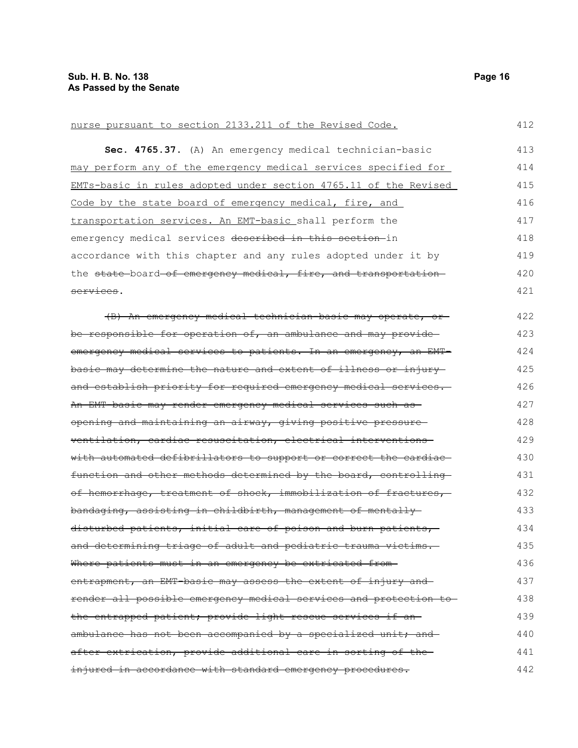# nurse pursuant to section 2133.211 of the Revised Code. **Sec. 4765.37.** (A) An emergency medical technician-basic may perform any of the emergency medical services specified for

| may perform any of the emergency medical services specified for  | 414 |
|------------------------------------------------------------------|-----|
| EMTs-basic in rules adopted under section 4765.11 of the Revised | 415 |
| Code by the state board of emergency medical, fire, and          | 416 |
| transportation services. An EMT-basic shall perform the          | 417 |
| emergency medical services described in this section-in          | 418 |
| accordance with this chapter and any rules adopted under it by   | 419 |
| the state-board-of emergency medical, fire, and transportation-  | 420 |
| services.                                                        | 421 |

| (B) An emergency medical technician-basic may operate, or-       | 422 |
|------------------------------------------------------------------|-----|
| be responsible for operation of, an ambulance and may provide    | 423 |
| emergency medical services to patients. In an emergency, an EMT- | 424 |
| basic may determine the nature and extent of illness or injury-  | 425 |
| and establish priority for required emergency medical services.  | 426 |
| An EMT basic may render emergency medical services such as-      | 427 |
| opening and maintaining an airway, giving positive pressure-     | 428 |
| ventilation, cardiac resuscitation, electrical interventions     | 429 |
| with automated defibrillators to support or correct the cardiac- | 430 |
| function and other methods determined by the board, controlling  | 431 |
| of hemorrhage, treatment of shock, immobilization of fractures,  | 432 |
| bandaging, assisting in childbirth, management of mentally       | 433 |
| disturbed patients, initial care of poison and burn patients,    | 434 |
| and determining triage of adult and pediatric trauma victims.    | 435 |
| Where patients must in an emergency be extricated from-          | 436 |
| entrapment, an EMT-basic may assess the extent of injury and     | 437 |
| render all possible emergency medical services and protection to | 438 |
| the entrapped patient; provide light rescue services if an-      | 439 |
| ambulance has not been accompanied by a specialized unit; and    | 440 |
| after extrication, provide additional care in sorting of the-    | 441 |
| injured in accordance with standard emergency procedures.        | 442 |

412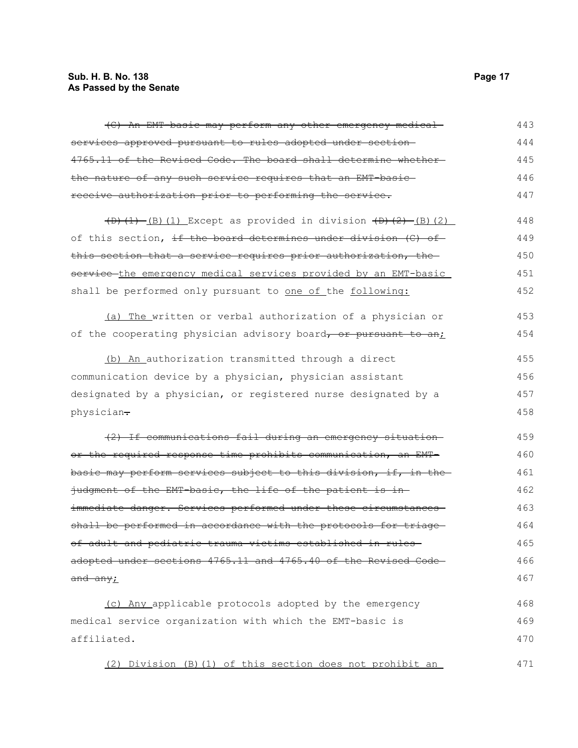#### **Sub. H. B. No. 138** Page 17 **As Passed by the Senate**

| (C) An EMT basic may perform any other emergency medical-          | 443 |
|--------------------------------------------------------------------|-----|
| services approved pursuant to rules adopted under section-         | 444 |
| 4765.11 of the Revised Code. The board shall determine whether-    | 445 |
| the nature of any such service requires that an EMT-basic-         | 446 |
| receive authorization prior to performing the service.             | 447 |
| $(D)$ (1) [B) (1) Except as provided in division $(D)$ (2) [B) (2) | 448 |
| of this section, if the board determines under division (C) of     | 449 |
| this section that a service requires prior authorization, the      | 450 |
| service-the emergency medical services provided by an EMT-basic    | 451 |
| shall be performed only pursuant to one of the following:          | 452 |
| (a) The written or verbal authorization of a physician or          | 453 |
| of the cooperating physician advisory board, or pursuant to an;    | 454 |
| (b) An authorization transmitted through a direct                  | 455 |
| communication device by a physician, physician assistant           | 456 |
| designated by a physician, or registered nurse designated by a     | 457 |
| physician-                                                         | 458 |
| (2) If communications fail during an emergency situation           | 459 |
| or the required response time prohibits communication, an EMT-     | 460 |
| basic may perform services subject to this division, if, in the    | 461 |
| judgment of the EMT-basic, the life of the patient is in-          | 462 |
| immediate danger. Services performed under these circumstances-    | 463 |
| shall be performed in accordance with the protocols for triage-    | 464 |
| of adult and pediatric trauma victims established in rules         | 465 |
| adopted under sections 4765.11 and 4765.40 of the Revised Code-    | 466 |
| and any;                                                           | 467 |
| (c) Any applicable protocols adopted by the emergency              | 468 |
| medical service organization with which the EMT-basic is           | 469 |
| affiliated.                                                        | 470 |
| (2) Division (B) (1) of this section does not prohibit an          | 471 |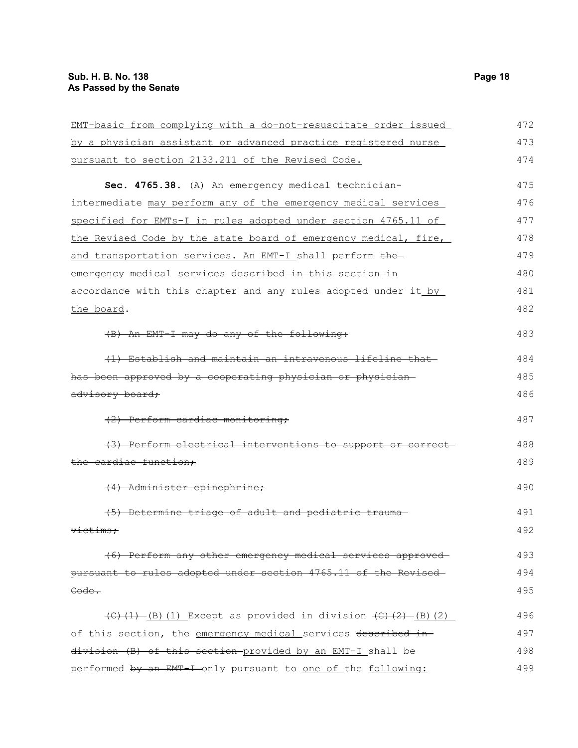| EMT-basic from complying with a do-not-resuscitate order issued                          | 472 |
|------------------------------------------------------------------------------------------|-----|
| by a physician assistant or advanced practice registered nurse                           | 473 |
| pursuant to section 2133.211 of the Revised Code.                                        | 474 |
| Sec. 4765.38. (A) An emergency medical technician-                                       | 475 |
| intermediate may perform any of the emergency medical services                           | 476 |
| specified for EMTs-I in rules adopted under section 4765.11 of                           | 477 |
| the Revised Code by the state board of emergency medical, fire,                          | 478 |
| and transportation services. An EMT-I shall perform the                                  | 479 |
| emergency medical services described in this section-in                                  | 480 |
| accordance with this chapter and any rules adopted under it by                           | 481 |
| the board.                                                                               | 482 |
| (B) An EMT-I may do any of the following:                                                | 483 |
| (1) Establish and maintain an intravenous lifeline that                                  | 484 |
| has been approved by a cooperating physician or physician-                               | 485 |
| advisory board;                                                                          | 486 |
| (2) Perform cardiac monitoring;                                                          | 487 |
| (3) Perform electrical interventions to support or correct-                              | 488 |
| the cardiac function:                                                                    | 489 |
| (4) Administer epinephrine;                                                              | 490 |
| (5) Determine triage of adult and pediatric trauma-                                      | 491 |
| <del>victims:</del>                                                                      | 492 |
| (6) Perform any other emergency medical services approved                                | 493 |
| pursuant to rules adopted under section 4765.11 of the Revised                           | 494 |
| Code.                                                                                    | 495 |
| $\overline{(C)(1) - (B)(1)}$ Except as provided in division $\overline{(C)(2) - (B)(2)}$ | 496 |
| of this section, the emergency medical services described in-                            | 497 |
| division (B) of this section provided by an EMT-I shall be                               | 498 |
| performed by an EMT I only pursuant to one of the following:                             | 499 |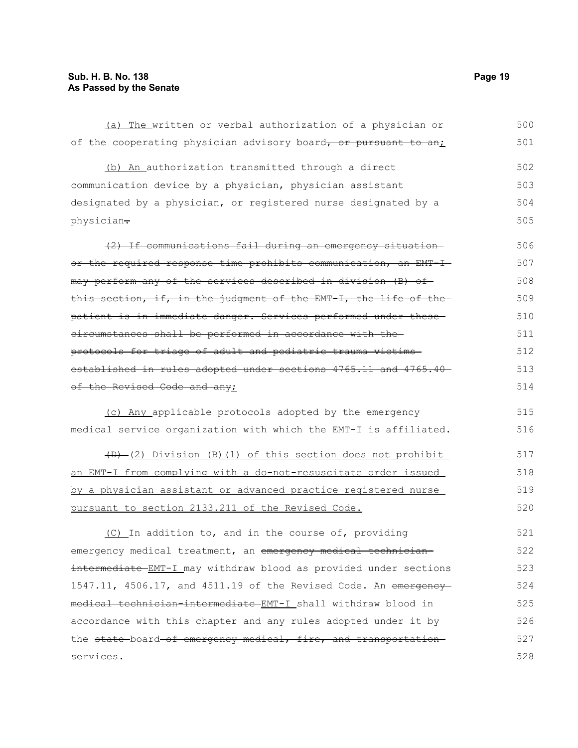services.

(a) The written or verbal authorization of a physician or of the cooperating physician advisory board, or pursuant to an; (b) An authorization transmitted through a direct communication device by a physician, physician assistant designated by a physician, or registered nurse designated by a physician-(2) If communications fail during an emergency situation or the required response time prohibits communication, an EMT-I may perform any of the services described in division (B) of this section, if, in the judgment of the EMT-I, the life of thepatient is in immediate danger. Services performed under these circumstances shall be performed in accordance with the protocols for triage of adult and pediatric trauma victims established in rules adopted under sections 4765.11 and 4765.40 of the Revised Code and any; (c) Any applicable protocols adopted by the emergency medical service organization with which the EMT-I is affiliated.  $(D)$  (2) Division (B)(1) of this section does not prohibit an EMT-I from complying with a do-not-resuscitate order issued by a physician assistant or advanced practice registered nurse pursuant to section 2133.211 of the Revised Code. (C) In addition to, and in the course of, providing emergency medical treatment, an emergency medical technicianintermediate EMT-I may withdraw blood as provided under sections 1547.11, 4506.17, and 4511.19 of the Revised Code. An emergencymedical technician-intermediate EMT-I shall withdraw blood in accordance with this chapter and any rules adopted under it by the state board of emergency medical, fire, and transportation 500 501 502 503 504 505 506 507 508 509 510 511 512 513 514 515 516 517 518 519 520 521 522 523 524 525 526 527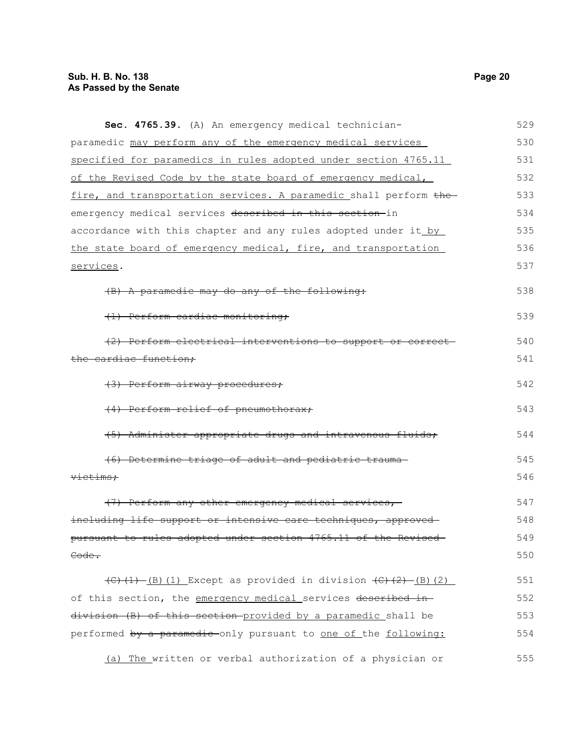#### **Sub. H. B. No. 138** Page 20 **As Passed by the Senate**

| Sec. 4765.39. (A) An emergency medical technician-                                       | 529 |
|------------------------------------------------------------------------------------------|-----|
| paramedic may perform any of the emergency medical services                              | 530 |
| specified for paramedics in rules adopted under section 4765.11                          | 531 |
| of the Revised Code by the state board of emergency medical,                             | 532 |
| fire, and transportation services. A paramedic shall perform the                         | 533 |
| emergency medical services described in this section-in                                  | 534 |
| accordance with this chapter and any rules adopted under it by                           | 535 |
| the state board of emergency medical, fire, and transportation                           | 536 |
| services.                                                                                | 537 |
| (B) A paramedic may do any of the following:                                             | 538 |
| (1) Perform cardiac monitoring;                                                          | 539 |
| (2) Perform electrical interventions to support or correct-                              | 540 |
| the cardiac function;                                                                    | 541 |
| (3) Perform airway procedures;                                                           | 542 |
| (4) Perform relief of pneumothorax;                                                      | 543 |
| (5) Administer appropriate drugs and intravenous fluids;                                 | 544 |
| (6) Determine triage of adult and pediatric trauma-                                      | 545 |
| victims;                                                                                 | 546 |
| (7) Perform any other emergency medical services,                                        | 547 |
| including life support or intensive care techniques, approved                            | 548 |
| pursuant to rules adopted under section 4765.11 of the Revised-                          | 549 |
| <del>Code .</del>                                                                        | 550 |
| $\overline{(C)(1) - (B)(1)}$ Except as provided in division $\overline{(C)(2) - (B)(2)}$ | 551 |
| of this section, the emergency medical services described in-                            | 552 |
| division (B) of this section provided by a paramedic shall be                            | 553 |
| performed by a paramedic-only pursuant to one of the following:                          | 554 |
| (a) The written or verbal authorization of a physician or                                | 555 |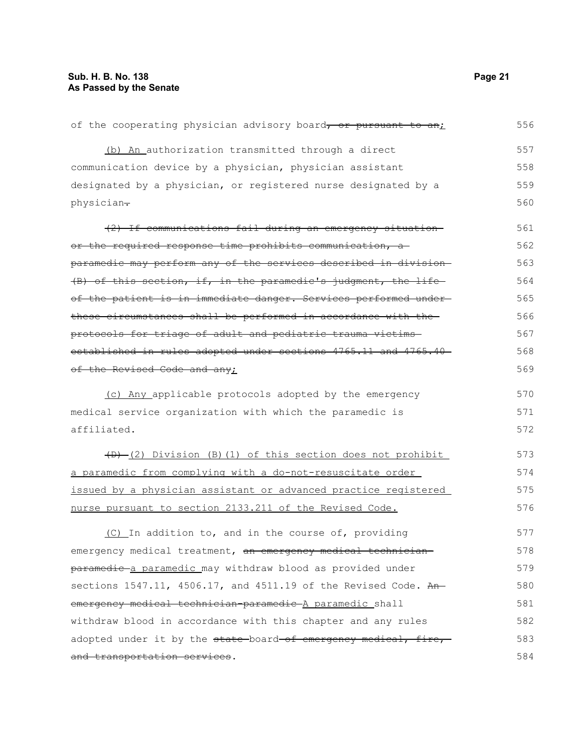| of the cooperating physician advisory board, or pursuant to an;   | 556 |  |  |  |  |  |  |
|-------------------------------------------------------------------|-----|--|--|--|--|--|--|
| (b) An authorization transmitted through a direct                 | 557 |  |  |  |  |  |  |
| communication device by a physician, physician assistant          | 558 |  |  |  |  |  |  |
| designated by a physician, or registered nurse designated by a    | 559 |  |  |  |  |  |  |
| physician-                                                        | 560 |  |  |  |  |  |  |
| (2) If communications fail during an emergency situation          | 561 |  |  |  |  |  |  |
| or the required response time prohibits communication, a          | 562 |  |  |  |  |  |  |
| paramedic may perform any of the services described in division   | 563 |  |  |  |  |  |  |
| $(B)$ of this section, if, in the paramedic's judgment, the life  | 564 |  |  |  |  |  |  |
| of the patient is in immediate danger. Services performed under-  | 565 |  |  |  |  |  |  |
| these circumstances shall be performed in accordance with the-    | 566 |  |  |  |  |  |  |
| protocols for triage of adult and pediatric trauma victims        | 567 |  |  |  |  |  |  |
| established in rules adopted under sections 4765.11 and 4765.40   | 568 |  |  |  |  |  |  |
| of the Revised Code and any;                                      | 569 |  |  |  |  |  |  |
| (c) Any applicable protocols adopted by the emergency             | 570 |  |  |  |  |  |  |
| medical service organization with which the paramedic is          |     |  |  |  |  |  |  |
| affiliated.                                                       | 572 |  |  |  |  |  |  |
| (D) (2) Division (B) (1) of this section does not prohibit        | 573 |  |  |  |  |  |  |
| a paramedic from complying with a do-not-resuscitate order        |     |  |  |  |  |  |  |
| issued by a physician assistant or advanced practice registered   | 575 |  |  |  |  |  |  |
| nurse pursuant to section 2133.211 of the Revised Code.           | 576 |  |  |  |  |  |  |
| (C) In addition to, and in the course of, providing               | 577 |  |  |  |  |  |  |
| emergency medical treatment, an emergency medical technician-     | 578 |  |  |  |  |  |  |
| paramedic-a paramedic may withdraw blood as provided under        | 579 |  |  |  |  |  |  |
| sections 1547.11, 4506.17, and 4511.19 of the Revised Code. $An-$ |     |  |  |  |  |  |  |
| emergency medical technician paramedic A paramedic shall          | 581 |  |  |  |  |  |  |
| withdraw blood in accordance with this chapter and any rules      |     |  |  |  |  |  |  |
| adopted under it by the state board of emergency medical, fire,   | 583 |  |  |  |  |  |  |
| and transportation services.                                      |     |  |  |  |  |  |  |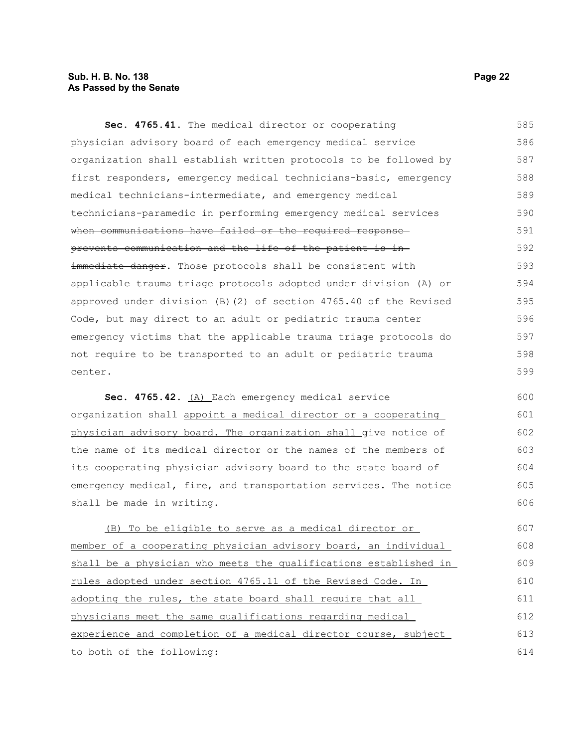#### **Sub. H. B. No. 138 Page 22 As Passed by the Senate**

**Sec. 4765.41.** The medical director or cooperating physician advisory board of each emergency medical service organization shall establish written protocols to be followed by first responders, emergency medical technicians-basic, emergency medical technicians-intermediate, and emergency medical technicians-paramedic in performing emergency medical services when communications have failed or the required responseprevents communication and the life of the patient is in immediate danger. Those protocols shall be consistent with applicable trauma triage protocols adopted under division (A) or approved under division (B)(2) of section 4765.40 of the Revised Code, but may direct to an adult or pediatric trauma center emergency victims that the applicable trauma triage protocols do not require to be transported to an adult or pediatric trauma center. 585 586 587 588 589 590 591 592 593 594 595 596 597 598 599 600

Sec. 4765.42. (A) Each emergency medical service organization shall appoint a medical director or a cooperating physician advisory board. The organization shall give notice of the name of its medical director or the names of the members of its cooperating physician advisory board to the state board of emergency medical, fire, and transportation services. The notice shall be made in writing. 601 602 603 604 605 606

(B) To be eligible to serve as a medical director or member of a cooperating physician advisory board, an individual shall be a physician who meets the qualifications established in rules adopted under section 4765.11 of the Revised Code. In adopting the rules, the state board shall require that all physicians meet the same qualifications regarding medical experience and completion of a medical director course, subject to both of the following: 607 608 609 610 611 612 613 614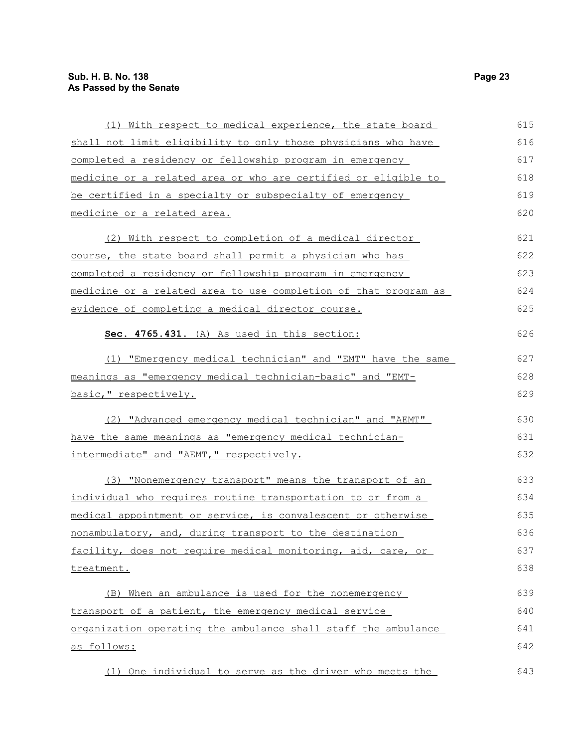| (1) With respect to medical experience, the state board         | 615 |  |  |  |  |  |  |  |
|-----------------------------------------------------------------|-----|--|--|--|--|--|--|--|
| shall not limit eligibility to only those physicians who have   | 616 |  |  |  |  |  |  |  |
| completed a residency or fellowship program in emergency        | 617 |  |  |  |  |  |  |  |
| medicine or a related area or who are certified or eligible to  | 618 |  |  |  |  |  |  |  |
| be certified in a specialty or subspecialty of emergency        |     |  |  |  |  |  |  |  |
| medicine or a related area.                                     | 620 |  |  |  |  |  |  |  |
| (2) With respect to completion of a medical director            | 621 |  |  |  |  |  |  |  |
| course, the state board shall permit a physician who has        | 622 |  |  |  |  |  |  |  |
| completed a residency or fellowship program in emergency        |     |  |  |  |  |  |  |  |
| medicine or a related area to use completion of that program as | 624 |  |  |  |  |  |  |  |
| evidence of completing a medical director course.               | 625 |  |  |  |  |  |  |  |
| Sec. 4765.431. (A) As used in this section:                     | 626 |  |  |  |  |  |  |  |
| (1) "Emergency medical technician" and "EMT" have the same      | 627 |  |  |  |  |  |  |  |
| meanings as "emergency medical technician-basic" and "EMT-      | 628 |  |  |  |  |  |  |  |
| basic," respectively.                                           | 629 |  |  |  |  |  |  |  |
| (2) "Advanced emergency medical technician" and "AEMT"          | 630 |  |  |  |  |  |  |  |
| have the same meanings as "emergency medical technician-        |     |  |  |  |  |  |  |  |
| intermediate" and "AEMT," respectively.                         | 632 |  |  |  |  |  |  |  |
| (3) "Nonemergency transport" means the transport of an          | 633 |  |  |  |  |  |  |  |
| individual who requires routine transportation to or from a     | 634 |  |  |  |  |  |  |  |
| medical appointment or service, is convalescent or otherwise    | 635 |  |  |  |  |  |  |  |
| nonambulatory, and, during transport to the destination         | 636 |  |  |  |  |  |  |  |
| facility, does not require medical monitoring, aid, care, or    | 637 |  |  |  |  |  |  |  |
| treatment.                                                      | 638 |  |  |  |  |  |  |  |
| (B) When an ambulance is used for the nonemergency              | 639 |  |  |  |  |  |  |  |
| transport of a patient, the emergency medical service           |     |  |  |  |  |  |  |  |
| organization operating the ambulance shall staff the ambulance  |     |  |  |  |  |  |  |  |
| as follows:                                                     | 642 |  |  |  |  |  |  |  |
| (1) One individual to serve as the driver who meets the         | 643 |  |  |  |  |  |  |  |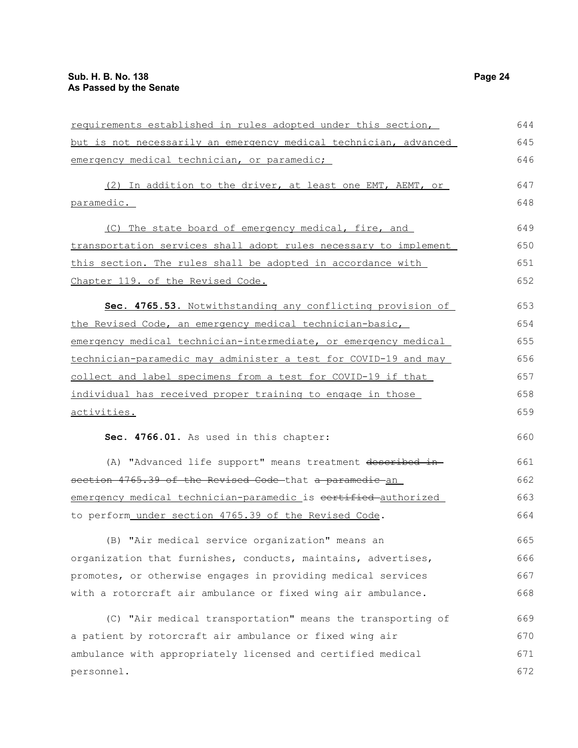| requirements established in rules adopted under this section,    |     |  |  |  |  |  |  |  |
|------------------------------------------------------------------|-----|--|--|--|--|--|--|--|
| but is not necessarily an emergency medical technician, advanced |     |  |  |  |  |  |  |  |
| emergency medical technician, or paramedic;                      | 646 |  |  |  |  |  |  |  |
| (2) In addition to the driver, at least one EMT, AEMT, or        | 647 |  |  |  |  |  |  |  |
| <u>paramedic.</u>                                                | 648 |  |  |  |  |  |  |  |
| (C) The state board of emergency medical, fire, and              | 649 |  |  |  |  |  |  |  |
| transportation services shall adopt rules necessary to implement |     |  |  |  |  |  |  |  |
| this section. The rules shall be adopted in accordance with      |     |  |  |  |  |  |  |  |
| Chapter 119. of the Revised Code.                                | 652 |  |  |  |  |  |  |  |
| Sec. 4765.53. Notwithstanding any conflicting provision of       | 653 |  |  |  |  |  |  |  |
| the Revised Code, an emergency medical technician-basic,         | 654 |  |  |  |  |  |  |  |
| emergency medical technician-intermediate, or emergency medical  | 655 |  |  |  |  |  |  |  |
| technician-paramedic may administer a test for COVID-19 and may  | 656 |  |  |  |  |  |  |  |
| collect and label specimens from a test for COVID-19 if that     |     |  |  |  |  |  |  |  |
| individual has received proper training to engage in those       | 658 |  |  |  |  |  |  |  |
| <u>activities.</u>                                               | 659 |  |  |  |  |  |  |  |
| Sec. 4766.01. As used in this chapter:                           | 660 |  |  |  |  |  |  |  |
| (A) "Advanced life support" means treatment described in-        | 661 |  |  |  |  |  |  |  |
| section 4765.39 of the Revised Code that a paramedic an          |     |  |  |  |  |  |  |  |
| emergency medical technician-paramedic is cortified-authorized   | 663 |  |  |  |  |  |  |  |
| to perform_under_section_4765.39 of the Revised Code.            | 664 |  |  |  |  |  |  |  |
| (B) "Air medical service organization" means an                  | 665 |  |  |  |  |  |  |  |
| organization that furnishes, conducts, maintains, advertises,    | 666 |  |  |  |  |  |  |  |
| promotes, or otherwise engages in providing medical services     | 667 |  |  |  |  |  |  |  |
| with a rotorcraft air ambulance or fixed wing air ambulance.     | 668 |  |  |  |  |  |  |  |
| (C) "Air medical transportation" means the transporting of       | 669 |  |  |  |  |  |  |  |
| a patient by rotorcraft air ambulance or fixed wing air          | 670 |  |  |  |  |  |  |  |
| ambulance with appropriately licensed and certified medical      | 671 |  |  |  |  |  |  |  |
| personnel.                                                       | 672 |  |  |  |  |  |  |  |
|                                                                  |     |  |  |  |  |  |  |  |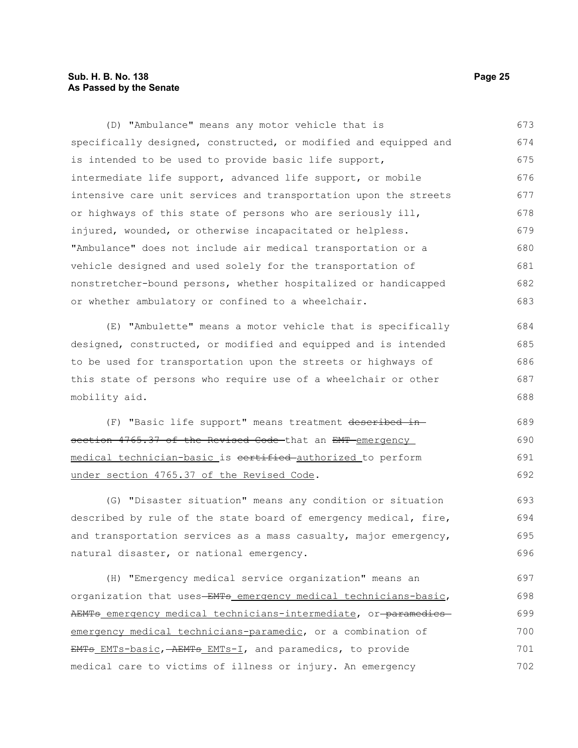#### **Sub. H. B. No. 138 Page 25 As Passed by the Senate**

(D) "Ambulance" means any motor vehicle that is specifically designed, constructed, or modified and equipped and is intended to be used to provide basic life support, intermediate life support, advanced life support, or mobile intensive care unit services and transportation upon the streets or highways of this state of persons who are seriously ill, injured, wounded, or otherwise incapacitated or helpless. "Ambulance" does not include air medical transportation or a vehicle designed and used solely for the transportation of nonstretcher-bound persons, whether hospitalized or handicapped or whether ambulatory or confined to a wheelchair. 673 674 675 676 677 678 679 680 681 682 683

(E) "Ambulette" means a motor vehicle that is specifically designed, constructed, or modified and equipped and is intended to be used for transportation upon the streets or highways of this state of persons who require use of a wheelchair or other mobility aid. 684 685 686 687 688

(F) "Basic life support" means treatment described in section 4765.37 of the Revised Code that an EMT emergency medical technician-basic is certified authorized to perform under section 4765.37 of the Revised Code. 689 690 691 692

(G) "Disaster situation" means any condition or situation described by rule of the state board of emergency medical, fire, and transportation services as a mass casualty, major emergency, natural disaster, or national emergency. 693 694 695 696

(H) "Emergency medical service organization" means an organization that uses-EMTs emergency medical technicians-basic, AEMTs emergency medical technicians-intermediate, or-paramedicsemergency medical technicians-paramedic, or a combination of EMTs EMTs-basic, AEMTs EMTs-I, and paramedics, to provide medical care to victims of illness or injury. An emergency 697 698 699 700 701 702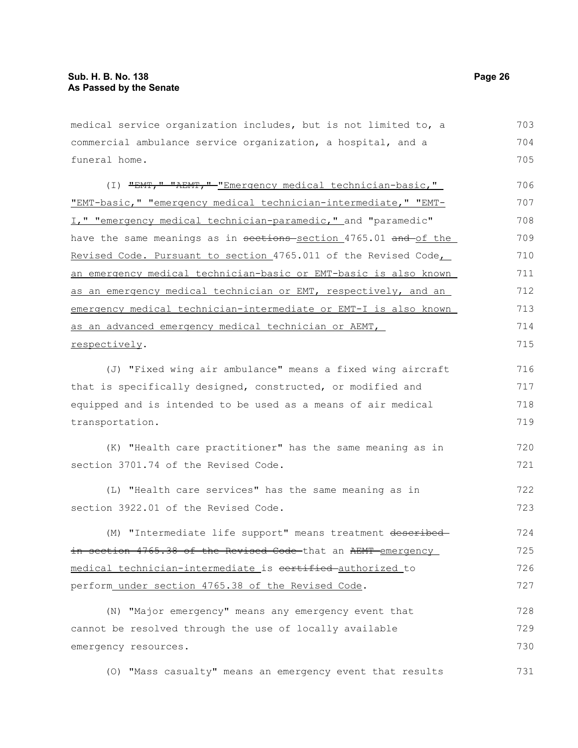medical service organization includes, but is not limited to, a commercial ambulance service organization, a hospital, and a funeral home. (I) "EMT," "AEMT," "Emergency medical technician-basic," "EMT-basic," "emergency medical technician-intermediate," "EMT-I," "emergency medical technician-paramedic," and "paramedic" have the same meanings as in sections section 4765.01 and of the Revised Code. Pursuant to section 4765.011 of the Revised Code, an emergency medical technician-basic or EMT-basic is also known as an emergency medical technician or EMT, respectively, and an emergency medical technician-intermediate or EMT-I is also known as an advanced emergency medical technician or AEMT, respectively. (J) "Fixed wing air ambulance" means a fixed wing aircraft that is specifically designed, constructed, or modified and equipped and is intended to be used as a means of air medical transportation. (K) "Health care practitioner" has the same meaning as in section 3701.74 of the Revised Code. (L) "Health care services" has the same meaning as in section 3922.01 of the Revised Code. (M) "Intermediate life support" means treatment describedin section 4765.38 of the Revised Code that an AEMT emergency medical technician-intermediate is cortified authorized to perform under section 4765.38 of the Revised Code. 703 704 705 706 707 708 709 710 711 712 713 714 715 716 717 718 719 720 721 722 723 724 725 726 727

(N) "Major emergency" means any emergency event that cannot be resolved through the use of locally available emergency resources. 728 729 730

(O) "Mass casualty" means an emergency event that results 731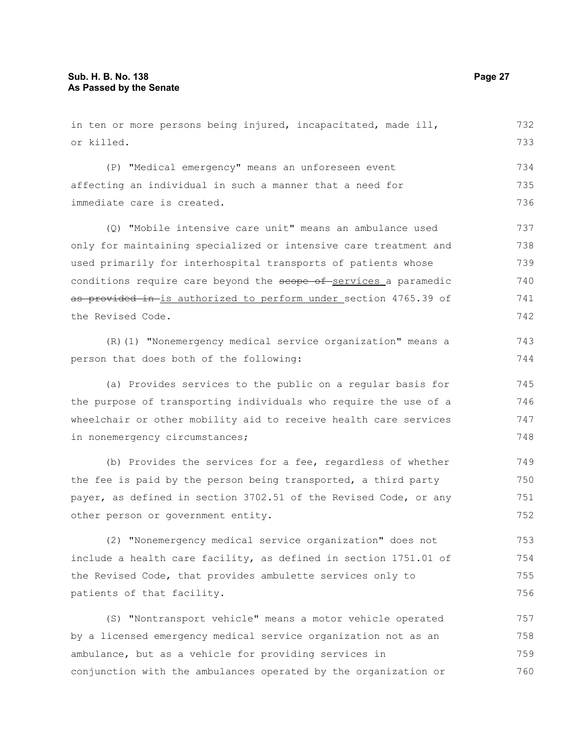in ten or more persons being injured, incapacitated, made ill, or killed. (P) "Medical emergency" means an unforeseen event affecting an individual in such a manner that a need for immediate care is created. (Q) "Mobile intensive care unit" means an ambulance used only for maintaining specialized or intensive care treatment and used primarily for interhospital transports of patients whose conditions require care beyond the scope of services a paramedic as provided in-is authorized to perform under section 4765.39 of the Revised Code. (R)(1) "Nonemergency medical service organization" means a person that does both of the following: (a) Provides services to the public on a regular basis for the purpose of transporting individuals who require the use of a wheelchair or other mobility aid to receive health care services in nonemergency circumstances; (b) Provides the services for a fee, regardless of whether the fee is paid by the person being transported, a third party payer, as defined in section 3702.51 of the Revised Code, or any other person or government entity. (2) "Nonemergency medical service organization" does not include a health care facility, as defined in section 1751.01 of the Revised Code, that provides ambulette services only to patients of that facility. (S) "Nontransport vehicle" means a motor vehicle operated 732 733 734 735 736 737 738 739 740 741 742 743 744 745 746 747 748 749 750 751 752 753 754 755 756 757

by a licensed emergency medical service organization not as an ambulance, but as a vehicle for providing services in conjunction with the ambulances operated by the organization or 758 759 760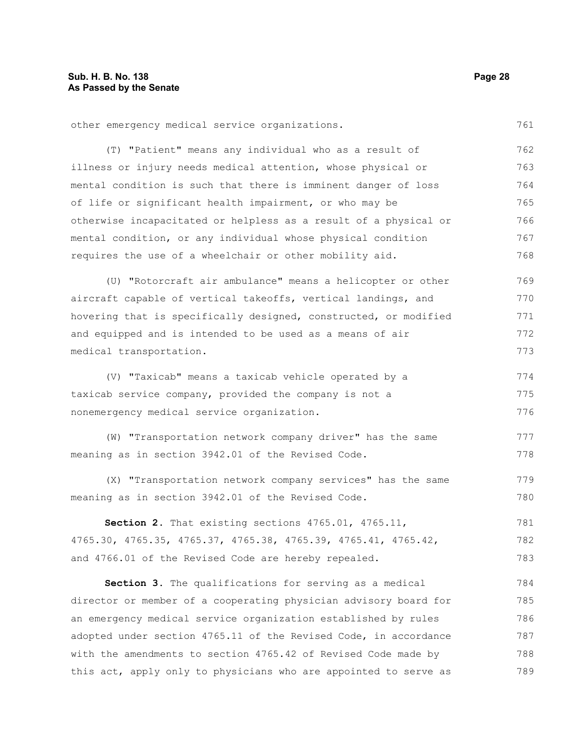761

779 780

other emergency medical service organizations.

(T) "Patient" means any individual who as a result of illness or injury needs medical attention, whose physical or mental condition is such that there is imminent danger of loss of life or significant health impairment, or who may be otherwise incapacitated or helpless as a result of a physical or mental condition, or any individual whose physical condition requires the use of a wheelchair or other mobility aid. 762 763 764 765 766 767 768

(U) "Rotorcraft air ambulance" means a helicopter or other aircraft capable of vertical takeoffs, vertical landings, and hovering that is specifically designed, constructed, or modified and equipped and is intended to be used as a means of air medical transportation. 769 770 771 772 773

(V) "Taxicab" means a taxicab vehicle operated by a taxicab service company, provided the company is not a nonemergency medical service organization. 774 775 776

(W) "Transportation network company driver" has the same meaning as in section 3942.01 of the Revised Code. 777 778

(X) "Transportation network company services" has the same meaning as in section 3942.01 of the Revised Code.

**Section 2.** That existing sections 4765.01, 4765.11, 4765.30, 4765.35, 4765.37, 4765.38, 4765.39, 4765.41, 4765.42, and 4766.01 of the Revised Code are hereby repealed. 781 782 783

**Section 3.** The qualifications for serving as a medical director or member of a cooperating physician advisory board for an emergency medical service organization established by rules adopted under section 4765.11 of the Revised Code, in accordance with the amendments to section 4765.42 of Revised Code made by this act, apply only to physicians who are appointed to serve as 784 785 786 787 788 789